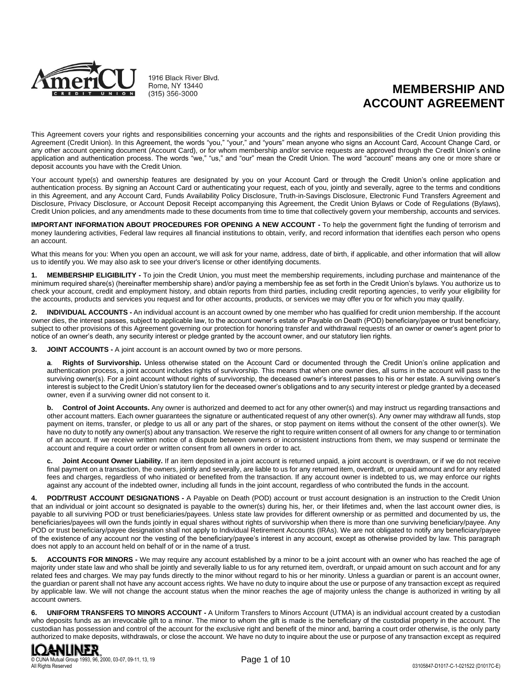

1916 Black River Blvd. Rome, NY 13440  $(315)$  356-3000

# **MEMBERSHIP AND ACCOUNT AGREEMENT**

This Agreement covers your rights and responsibilities concerning your accounts and the rights and responsibilities of the Credit Union providing this Agreement (Credit Union). In this Agreement, the words "you," "your," and "yours" mean anyone who signs an Account Card, Account Change Card, or any other account opening document (Account Card), or for whom membership and/or service requests are approved through the Credit Union's online application and authentication process. The words "we," "us," and "our" mean the Credit Union. The word "account" means any one or more share or deposit accounts you have with the Credit Union.

Your account type(s) and ownership features are designated by you on your Account Card or through the Credit Union's online application and authentication process. By signing an Account Card or authenticating your request, each of you, jointly and severally, agree to the terms and conditions in this Agreement, and any Account Card, Funds Availability Policy Disclosure, Truth-in-Savings Disclosure, Electronic Fund Transfers Agreement and Disclosure, Privacy Disclosure, or Account Deposit Receipt accompanying this Agreement, the Credit Union Bylaws or Code of Regulations (Bylaws), Credit Union policies, and any amendments made to these documents from time to time that collectively govern your membership, accounts and services.

**IMPORTANT INFORMATION ABOUT PROCEDURES FOR OPENING A NEW ACCOUNT -** To help the government fight the funding of terrorism and money laundering activities, Federal law requires all financial institutions to obtain, verify, and record information that identifies each person who opens an account.

What this means for you: When you open an account, we will ask for your name, address, date of birth, if applicable, and other information that will allow us to identify you. We may also ask to see your driver's license or other identifying documents.

**1. MEMBERSHIP ELIGIBILITY -** To join the Credit Union, you must meet the membership requirements, including purchase and maintenance of the minimum required share(s) (hereinafter membership share) and/or paying a membership fee as set forth in the Credit Union's bylaws. You authorize us to check your account, credit and employment history, and obtain reports from third parties, including credit reporting agencies, to verify your eligibility for the accounts, products and services you request and for other accounts, products, or services we may offer you or for which you may qualify.

**2. INDIVIDUAL ACCOUNTS -** An individual account is an account owned by one member who has qualified for credit union membership. If the account owner dies, the interest passes, subject to applicable law, to the account owner's estate or Payable on Death (POD) beneficiary/payee or trust beneficiary, subject to other provisions of this Agreement governing our protection for honoring transfer and withdrawal requests of an owner or owner's agent prior to notice of an owner's death, any security interest or pledge granted by the account owner, and our statutory lien rights.

**3. JOINT ACCOUNTS -** A joint account is an account owned by two or more persons.

**a**. **Rights of Survivorship.** Unless otherwise stated on the Account Card or documented through the Credit Union's online application and authentication process, a joint account includes rights of survivorship. This means that when one owner dies, all sums in the account will pass to the surviving owner(s). For a joint account without rights of survivorship, the deceased owner's interest passes to his or her estate. A surviving owner's interest is subject to the Credit Union's statutory lien for the deceased owner's obligations and to any security interest or pledge granted by a deceased owner, even if a surviving owner did not consent to it.

**b.** Control of Joint Accounts. Any owner is authorized and deemed to act for any other owner(s) and may instruct us regarding transactions and other account matters. Each owner guarantees the signature or authenticated request of any other owner(s). Any owner may withdraw all funds, stop payment on items, transfer, or pledge to us all or any part of the shares, or stop payment on items without the consent of the other owner(s). We have no duty to notify any owner(s) about any transaction. We reserve the right to require written consent of all owners for any change to or termination of an account. If we receive written notice of a dispute between owners or inconsistent instructions from them, we may suspend or terminate the account and require a court order or written consent from all owners in order to act.

**c. Joint Account Owner Liability.** If an item deposited in a joint account is returned unpaid, a joint account is overdrawn, or if we do not receive final payment on a transaction, the owners, jointly and severally, are liable to us for any returned item, overdraft, or unpaid amount and for any related fees and charges, regardless of who initiated or benefited from the transaction. If any account owner is indebted to us, we may enforce our rights against any account of the indebted owner, including all funds in the joint account, regardless of who contributed the funds in the account.

**4. POD/TRUST ACCOUNT DESIGNATIONS -** A Payable on Death (POD) account or trust account designation is an instruction to the Credit Union that an individual or joint account so designated is payable to the owner(s) during his, her, or their lifetimes and, when the last account owner dies, is payable to all surviving POD or trust beneficiaries/payees. Unless state law provides for different ownership or as permitted and documented by us, the beneficiaries/payees will own the funds jointly in equal shares without rights of survivorship when there is more than one surviving beneficiary/payee. Any POD or trust beneficiary/payee designation shall not apply to Individual Retirement Accounts (IRAs). We are not obligated to notify any beneficiary/payee of the existence of any account nor the vesting of the beneficiary/payee's interest in any account, except as otherwise provided by law. This paragraph does not apply to an account held on behalf of or in the name of a trust.

**5. ACCOUNTS FOR MINORS -** We may require any account established by a minor to be a joint account with an owner who has reached the age of majority under state law and who shall be jointly and severally liable to us for any returned item, overdraft, or unpaid amount on such account and for any related fees and charges. We may pay funds directly to the minor without regard to his or her minority. Unless a guardian or parent is an account owner, the guardian or parent shall not have any account access rights. We have no duty to inquire about the use or purpose of any transaction except as required by applicable law. We will not change the account status when the minor reaches the age of majority unless the change is authorized in writing by all account owners.

**6. UNIFORM TRANSFERS TO MINORS ACCOUNT -** A Uniform Transfers to Minors Account (UTMA) is an individual account created by a custodian who deposits funds as an irrevocable gift to a minor. The minor to whom the gift is made is the beneficiary of the custodial property in the account. The custodian has possession and control of the account for the exclusive right and benefit of the minor and, barring a court order otherwise, is the only party authorized to make deposits, withdrawals, or close the account. We have no duty to inquire about the use or purpose of any transaction except as required

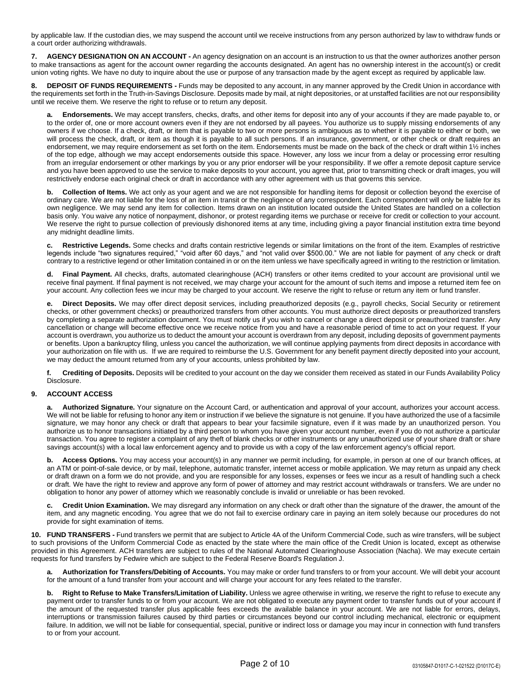by applicable law. If the custodian dies, we may suspend the account until we receive instructions from any person authorized by law to withdraw funds or a court order authorizing withdrawals.

**7. AGENCY DESIGNATION ON AN ACCOUNT -** An agency designation on an account is an instruction to us that the owner authorizes another person to make transactions as agent for the account owner regarding the accounts designated. An agent has no ownership interest in the account(s) or credit union voting rights. We have no duty to inquire about the use or purpose of any transaction made by the agent except as required by applicable law.

**8. DEPOSIT OF FUNDS REQUIREMENTS -** Funds may be deposited to any account, in any manner approved by the Credit Union in accordance with the requirements set forth in the Truth-in-Savings Disclosure. Deposits made by mail, at night depositories, or at unstaffed facilities are not our responsibility until we receive them. We reserve the right to refuse or to return any deposit.

**a. Endorsements.** We may accept transfers, checks, drafts, and other items for deposit into any of your accounts if they are made payable to, or to the order of, one or more account owners even if they are not endorsed by all payees. You authorize us to supply missing endorsements of any owners if we choose. If a check, draft, or item that is payable to two or more persons is ambiguous as to whether it is payable to either or both, we will process the check, draft, or item as though it is payable to all such persons. If an insurance, government, or other check or draft requires an endorsement, we may require endorsement as set forth on the item. Endorsements must be made on the back of the check or draft within 1½ inches of the top edge, although we may accept endorsements outside this space. However, any loss we incur from a delay or processing error resulting from an irregular endorsement or other markings by you or any prior endorser will be your responsibility. If we offer a remote deposit capture service and you have been approved to use the service to make deposits to your account, you agree that, prior to transmitting check or draft images, you will restrictively endorse each original check or draft in accordance with any other agreement with us that governs this service.

**b. Collection of Items.** We act only as your agent and we are not responsible for handling items for deposit or collection beyond the exercise of ordinary care. We are not liable for the loss of an item in transit or the negligence of any correspondent. Each correspondent will only be liable for its own negligence. We may send any item for collection. Items drawn on an institution located outside the United States are handled on a collection basis only. You waive any notice of nonpayment, dishonor, or protest regarding items we purchase or receive for credit or collection to your account. We reserve the right to pursue collection of previously dishonored items at any time, including giving a payor financial institution extra time beyond any midnight deadline limits.

**c. Restrictive Legends.** Some checks and drafts contain restrictive legends or similar limitations on the front of the item. Examples of restrictive legends include "two signatures required," "void after 60 days," and "not valid over \$500.00." We are not liable for payment of any check or draft contrary to a restrictive legend or other limitation contained in or on the item unless we have specifically agreed in writing to the restriction or limitation.

**d. Final Payment.** All checks, drafts, automated clearinghouse (ACH) transfers or other items credited to your account are provisional until we receive final payment. If final payment is not received, we may charge your account for the amount of such items and impose a returned item fee on your account. Any collection fees we incur may be charged to your account. We reserve the right to refuse or return any item or fund transfer.

**e. Direct Deposits.** We may offer direct deposit services, including preauthorized deposits (e.g., payroll checks, Social Security or retirement checks, or other government checks) or preauthorized transfers from other accounts. You must authorize direct deposits or preauthorized transfers by completing a separate authorization document. You must notify us if you wish to cancel or change a direct deposit or preauthorized transfer. Any cancellation or change will become effective once we receive notice from you and have a reasonable period of time to act on your request. If your account is overdrawn, you authorize us to deduct the amount your account is overdrawn from any deposit, including deposits of government payments or benefits. Upon a bankruptcy filing, unless you cancel the authorization, we will continue applying payments from direct deposits in accordance with your authorization on file with us. If we are required to reimburse the U.S. Government for any benefit payment directly deposited into your account, we may deduct the amount returned from any of your accounts, unless prohibited by law.

**f. Crediting of Deposits.** Deposits will be credited to your account on the day we consider them received as stated in our Funds Availability Policy Disclosure.

# **9. ACCOUNT ACCESS**

Authorized Signature. Your signature on the Account Card, or authentication and approval of your account, authorizes your account access. We will not be liable for refusing to honor any item or instruction if we believe the signature is not genuine. If you have authorized the use of a facsimile signature, we may honor any check or draft that appears to bear your facsimile signature, even if it was made by an unauthorized person. You authorize us to honor transactions initiated by a third person to whom you have given your account number, even if you do not authorize a particular transaction. You agree to register a complaint of any theft of blank checks or other instruments or any unauthorized use of your share draft or share savings account(s) with a local law enforcement agency and to provide us with a copy of the law enforcement agency's official report.

**b. Access Options.** You may access your account(s) in any manner we permit including, for example, in person at one of our branch offices, at an ATM or point-of-sale device, or by mail, telephone, automatic transfer, internet access or mobile application. We may return as unpaid any check or draft drawn on a form we do not provide, and you are responsible for any losses, expenses or fees we incur as a result of handling such a check or draft. We have the right to review and approve any form of power of attorney and may restrict account withdrawals or transfers. We are under no obligation to honor any power of attorney which we reasonably conclude is invalid or unreliable or has been revoked.

**c. Credit Union Examination.** We may disregard any information on any check or draft other than the signature of the drawer, the amount of the item, and any magnetic encoding. You agree that we do not fail to exercise ordinary care in paying an item solely because our procedures do not provide for sight examination of items.

**10. FUND TRANSFERS -** Fund transfers we permit that are subject to Article 4A of the Uniform Commercial Code, such as wire transfers, will be subject to such provisions of the Uniform Commercial Code as enacted by the state where the main office of the Credit Union is located, except as otherwise provided in this Agreement. ACH transfers are subject to rules of the National Automated Clearinghouse Association (Nacha). We may execute certain requests for fund transfers by Fedwire which are subject to the Federal Reserve Board's Regulation J.

**a. Authorization for Transfers/Debiting of Accounts.** You may make or order fund transfers to or from your account. We will debit your account for the amount of a fund transfer from your account and will charge your account for any fees related to the transfer.

**b. Right to Refuse to Make Transfers/Limitation of Liability.** Unless we agree otherwise in writing, we reserve the right to refuse to execute any payment order to transfer funds to or from your account. We are not obligated to execute any payment order to transfer funds out of your account if the amount of the requested transfer plus applicable fees exceeds the available balance in your account. We are not liable for errors, delays, interruptions or transmission failures caused by third parties or circumstances beyond our control including mechanical, electronic or equipment failure. In addition, we will not be liable for consequential, special, punitive or indirect loss or damage you may incur in connection with fund transfers to or from your account.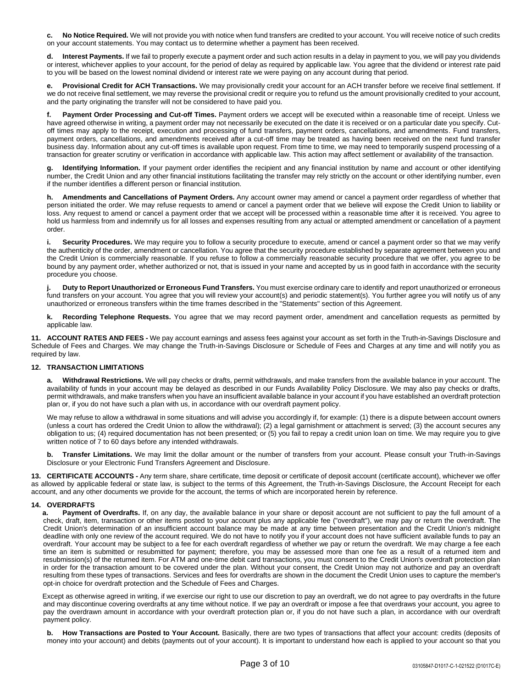**c. No Notice Required.** We will not provide you with notice when fund transfers are credited to your account. You will receive notice of such credits on your account statements. You may contact us to determine whether a payment has been received.

Interest Payments. If we fail to properly execute a payment order and such action results in a delay in payment to you, we will pay you dividends or interest, whichever applies to your account, for the period of delay as required by applicable law. You agree that the dividend or interest rate paid to you will be based on the lowest nominal dividend or interest rate we were paying on any account during that period.

**e. Provisional Credit for ACH Transactions.** We may provisionally credit your account for an ACH transfer before we receive final settlement. If we do not receive final settlement, we may reverse the provisional credit or require you to refund us the amount provisionally credited to your account, and the party originating the transfer will not be considered to have paid you.

**f. Payment Order Processing and Cut-off Times.** Payment orders we accept will be executed within a reasonable time of receipt. Unless we have agreed otherwise in writing, a payment order may not necessarily be executed on the date it is received or on a particular date you specify. Cutoff times may apply to the receipt, execution and processing of fund transfers, payment orders, cancellations, and amendments. Fund transfers, payment orders, cancellations, and amendments received after a cut-off time may be treated as having been received on the next fund transfer business day. Information about any cut-off times is available upon request. From time to time, we may need to temporarily suspend processing of a transaction for greater scrutiny or verification in accordance with applicable law. This action may affect settlement or availability of the transaction.

**g. Identifying Information.** If your payment order identifies the recipient and any financial institution by name and account or other identifying number, the Credit Union and any other financial institutions facilitating the transfer may rely strictly on the account or other identifying number, even if the number identifies a different person or financial institution.

**h. Amendments and Cancellations of Payment Orders.** Any account owner may amend or cancel a payment order regardless of whether that person initiated the order. We may refuse requests to amend or cancel a payment order that we believe will expose the Credit Union to liability or loss. Any request to amend or cancel a payment order that we accept will be processed within a reasonable time after it is received. You agree to hold us harmless from and indemnify us for all losses and expenses resulting from any actual or attempted amendment or cancellation of a payment order.

Security Procedures. We may require you to follow a security procedure to execute, amend or cancel a payment order so that we may verify the authenticity of the order, amendment or cancellation. You agree that the security procedure established by separate agreement between you and the Credit Union is commercially reasonable. If you refuse to follow a commercially reasonable security procedure that we offer, you agree to be bound by any payment order, whether authorized or not, that is issued in your name and accepted by us in good faith in accordance with the security procedure you choose.

**j. Duty to Report Unauthorized or Erroneous Fund Transfers.** You must exercise ordinary care to identify and report unauthorized or erroneous fund transfers on your account. You agree that you will review your account(s) and periodic statement(s). You further agree you will notify us of any unauthorized or erroneous transfers within the time frames described in the "Statements" section of this Agreement.

**k. Recording Telephone Requests.** You agree that we may record payment order, amendment and cancellation requests as permitted by applicable law.

**11. ACCOUNT RATES AND FEES -** We pay account earnings and assess fees against your account as set forth in the Truth-in-Savings Disclosure and Schedule of Fees and Charges. We may change the Truth-in-Savings Disclosure or Schedule of Fees and Charges at any time and will notify you as required by law.

# **12. TRANSACTION LIMITATIONS**

**a. Withdrawal Restrictions.** We will pay checks or drafts, permit withdrawals, and make transfers from the available balance in your account. The availability of funds in your account may be delayed as described in our Funds Availability Policy Disclosure. We may also pay checks or drafts, permit withdrawals, and make transfers when you have an insufficient available balance in your account if you have established an overdraft protection plan or, if you do not have such a plan with us, in accordance with our overdraft payment policy.

We may refuse to allow a withdrawal in some situations and will advise you accordingly if, for example: (1) there is a dispute between account owners (unless a court has ordered the Credit Union to allow the withdrawal); (2) a legal garnishment or attachment is served; (3) the account secures any obligation to us; (4) required documentation has not been presented; or (5) you fail to repay a credit union loan on time. We may require you to give written notice of 7 to 60 days before any intended withdrawals.

**b. Transfer Limitations.** We may limit the dollar amount or the number of transfers from your account. Please consult your Truth-in-Savings Disclosure or your Electronic Fund Transfers Agreement and Disclosure.

**13. CERTIFICATE ACCOUNTS -** Any term share, share certificate, time deposit or certificate of deposit account (certificate account), whichever we offer as allowed by applicable federal or state law, is subject to the terms of this Agreement, the Truth-in-Savings Disclosure, the Account Receipt for each account, and any other documents we provide for the account, the terms of which are incorporated herein by reference.

# **14. OVERDRAFTS**

**a. Payment of Overdrafts.** If, on any day, the available balance in your share or deposit account are not sufficient to pay the full amount of a check, draft, item, transaction or other items posted to your account plus any applicable fee ("overdraft"), we may pay or return the overdraft. The Credit Union's determination of an insufficient account balance may be made at any time between presentation and the Credit Union's midnight deadline with only one review of the account required. We do not have to notify you if your account does not have sufficient available funds to pay an overdraft. Your account may be subject to a fee for each overdraft regardless of whether we pay or return the overdraft. We may charge a fee each time an item is submitted or resubmitted for payment; therefore, you may be assessed more than one fee as a result of a returned item and resubmission(s) of the returned item. For ATM and one-time debit card transactions, you must consent to the Credit Union's overdraft protection plan in order for the transaction amount to be covered under the plan. Without your consent, the Credit Union may not authorize and pay an overdraft resulting from these types of transactions. Services and fees for overdrafts are shown in the document the Credit Union uses to capture the member's opt-in choice for overdraft protection and the Schedule of Fees and Charges.

Except as otherwise agreed in writing, if we exercise our right to use our discretion to pay an overdraft, we do not agree to pay overdrafts in the future and may discontinue covering overdrafts at any time without notice. If we pay an overdraft or impose a fee that overdraws your account, you agree to pay the overdrawn amount in accordance with your overdraft protection plan or, if you do not have such a plan, in accordance with our overdraft payment policy.

**b.** How Transactions are Posted to Your Account. Basically, there are two types of transactions that affect your account: credits (deposits of money into your account) and debits (payments out of your account). It is important to understand how each is applied to your account so that you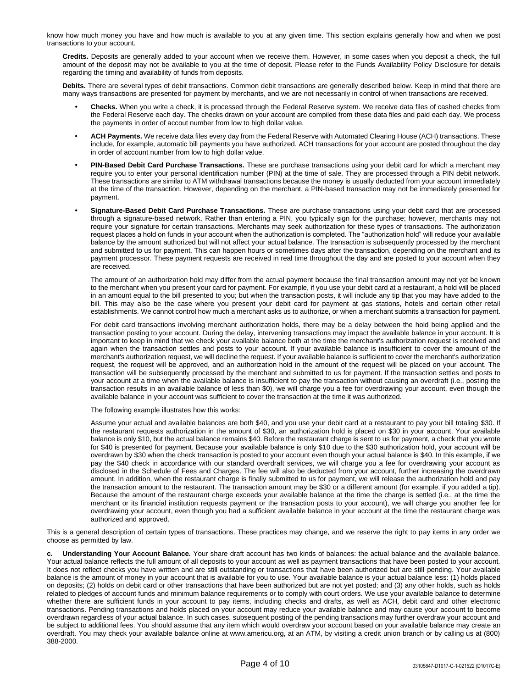know how much money you have and how much is available to you at any given time. This section explains generally how and when we post transactions to your account.

**Credits.** Deposits are generally added to your account when we receive them. However, in some cases when you deposit a check, the full amount of the deposit may not be available to you at the time of deposit. Please refer to the Funds Availability Policy Disclosure for details regarding the timing and availability of funds from deposits.

**Debits.** There are several types of debit transactions. Common debit transactions are generally described below. Keep in mind that there are many ways transactions are presented for payment by merchants, and we are not necessarily in control of when transactions are received.

- **• Checks.** When you write a check, it is processed through the Federal Reserve system. We receive data files of cashed checks from the Federal Reserve each day. The checks drawn on your account are compiled from these data files and paid each day. We process the payments in order of accout number from low to high dollar value.
- **• ACH Payments.** We receive data files every day from the Federal Reserve with Automated Clearing House (ACH) transactions. These include, for example, automatic bill payments you have authorized. ACH transactions for your account are posted throughout the day in order of account number from low to high dollar value.
- **• PIN-Based Debit Card Purchase Transactions.** These are purchase transactions using your debit card for which a merchant may require you to enter your personal identification number (PIN) at the time of sale. They are processed through a PIN debit network. These transactions are similar to ATM withdrawal transactions because the money is usually deducted from your account immediately at the time of the transaction. However, depending on the merchant, a PIN-based transaction may not be immediately presented for payment.
- **• Signature-Based Debit Card Purchase Transactions.** These are purchase transactions using your debit card that are processed through a signature-based network. Rather than entering a PIN, you typically sign for the purchase; however, merchants may not require your signature for certain transactions. Merchants may seek authorization for these types of transactions. The authorization request places a hold on funds in your account when the authorization is completed. The "authorization hold" will reduce your available balance by the amount authorized but will not affect your actual balance. The transaction is subsequently processed by the merchant and submitted to us for payment. This can happen hours or sometimes days after the transaction, depending on the merchant and its payment processor. These payment requests are received in real time throughout the day and are posted to your account when they are received.

The amount of an authorization hold may differ from the actual payment because the final transaction amount may not yet be known to the merchant when you present your card for payment. For example, if you use your debit card at a restaurant, a hold will be placed in an amount equal to the bill presented to you; but when the transaction posts, it will include any tip that you may have added to the bill. This may also be the case where you present your debit card for payment at gas stations, hotels and certain other retail establishments. We cannot control how much a merchant asks us to authorize, or when a merchant submits a transaction for payment.

For debit card transactions involving merchant authorization holds, there may be a delay between the hold being applied and the transaction posting to your account. During the delay, intervening transactions may impact the available balance in your account. It is important to keep in mind that we check your available balance both at the time the merchant's authorization request is received and again when the transaction settles and posts to your account. If your available balance is insufficient to cover the amount of the merchant's authorization request, we will decline the request. If your available balance is sufficient to cover the merchant's authorization request, the request will be approved, and an authorization hold in the amount of the request will be placed on your account. The transaction will be subsequently processed by the merchant and submitted to us for payment. If the transaction settles and posts to your account at a time when the available balance is insufficient to pay the transaction without causing an overdraft (i.e., posting the transaction results in an available balance of less than \$0), we will charge you a fee for overdrawing your account, even though the available balance in your account was sufficient to cover the transaction at the time it was authorized.

The following example illustrates how this works:

Assume your actual and available balances are both \$40, and you use your debit card at a restaurant to pay your bill totaling \$30. If the restaurant requests authorization in the amount of \$30, an authorization hold is placed on \$30 in your account. Your available balance is only \$10, but the actual balance remains \$40. Before the restaurant charge is sent to us for payment, a check that you wrote for \$40 is presented for payment. Because your available balance is only \$10 due to the \$30 authorization hold, your account will be overdrawn by \$30 when the check transaction is posted to your account even though your actual balance is \$40. In this example, if we pay the \$40 check in accordance with our standard overdraft services, we will charge you a fee for overdrawing your account as disclosed in the Schedule of Fees and Charges. The fee will also be deducted from your account, further increasing the overdrawn amount. In addition, when the restaurant charge is finally submitted to us for payment, we will release the authorization hold and pay the transaction amount to the restaurant. The transaction amount may be \$30 or a different amount (for example, if you added a tip). Because the amount of the restaurant charge exceeds your available balance at the time the charge is settled (i.e., at the time the merchant or its financial institution requests payment or the transaction posts to your account), we will charge you another fee for overdrawing your account, even though you had a sufficient available balance in your account at the time the restaurant charge was authorized and approved.

This is a general description of certain types of transactions. These practices may change, and we reserve the right to pay items in any order we choose as permitted by law.

**c. Understanding Your Account Balance.** Your share draft account has two kinds of balances: the actual balance and the available balance. Your actual balance reflects the full amount of all deposits to your account as well as payment transactions that have been posted to your account. It does not reflect checks you have written and are still outstanding or transactions that have been authorized but are still pending. Your available balance is the amount of money in your account that is available for you to use. Your available balance is your actual balance less: (1) holds placed on deposits; (2) holds on debit card or other transactions that have been authorized but are not yet posted; and (3) any other holds, such as holds related to pledges of account funds and minimum balance requirements or to comply with court orders. We use your available balance to determine whether there are sufficient funds in your account to pay items, including checks and drafts, as well as ACH, debit card and other electronic transactions. Pending transactions and holds placed on your account may reduce your available balance and may cause your account to become overdrawn regardless of your actual balance. In such cases, subsequent posting of the pending transactions may further overdraw your account and be subject to additional fees. You should assume that any item which would overdraw your account based on your available balance may create an overdraft. You may check your available balance online at www.americu.org, at an ATM, by visiting a credit union branch or by calling us at (800) 388-2000.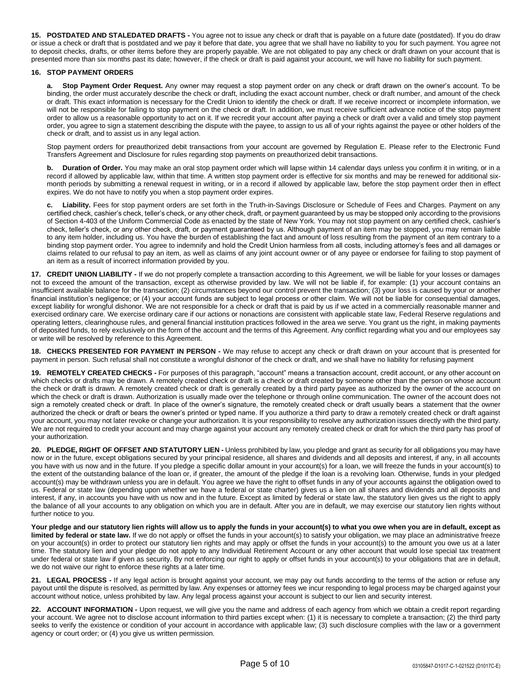**15. POSTDATED AND STALEDATED DRAFTS -** You agree not to issue any check or draft that is payable on a future date (postdated). If you do draw or issue a check or draft that is postdated and we pay it before that date, you agree that we shall have no liability to you for such payment. You agree not to deposit checks, drafts, or other items before they are properly payable. We are not obligated to pay any check or draft drawn on your account that is presented more than six months past its date; however, if the check or draft is paid against your account, we will have no liability for such payment.

# **16. STOP PAYMENT ORDERS**

Stop Payment Order Request. Any owner may request a stop payment order on any check or draft drawn on the owner's account. To be binding, the order must accurately describe the check or draft, including the exact account number, check or draft number, and amount of the check or draft. This exact information is necessary for the Credit Union to identify the check or draft. If we receive incorrect or incomplete information, we will not be responsible for failing to stop payment on the check or draft. In addition, we must receive sufficient advance notice of the stop payment order to allow us a reasonable opportunity to act on it. If we recredit your account after paying a check or draft over a valid and timely stop payment order, you agree to sign a statement describing the dispute with the payee, to assign to us all of your rights against the payee or other holders of the check or draft, and to assist us in any legal action.

Stop payment orders for preauthorized debit transactions from your account are governed by Regulation E. Please refer to the Electronic Fund Transfers Agreement and Disclosure for rules regarding stop payments on preauthorized debit transactions.

**b. Duration of Order.** You may make an oral stop payment order which will lapse within 14 calendar days unless you confirm it in writing, or in a record if allowed by applicable law, within that time. A written stop payment order is effective for six months and may be renewed for additional sixmonth periods by submitting a renewal request in writing, or in a record if allowed by applicable law, before the stop payment order then in effect expires. We do not have to notify you when a stop payment order expires.

**c. Liability.** Fees for stop payment orders are set forth in the Truth-in-Savings Disclosure or Schedule of Fees and Charges. Payment on any certified check, cashier's check, teller's check, or any other check, draft, or payment guaranteed by us may be stopped only according to the provisions of Section 4-403 of the Uniform Commercial Code as enacted by the state of New York. You may not stop payment on any certified check, cashier's check, teller's check, or any other check, draft, or payment guaranteed by us. Although payment of an item may be stopped, you may remain liable to any item holder, including us. You have the burden of establishing the fact and amount of loss resulting from the payment of an item contrary to a binding stop payment order. You agree to indemnify and hold the Credit Union harmless from all costs, including attorney's fees and all damages or claims related to our refusal to pay an item, as well as claims of any joint account owner or of any payee or endorsee for failing to stop payment of an item as a result of incorrect information provided by you.

**17. CREDIT UNION LIABILITY -** If we do not properly complete a transaction according to this Agreement, we will be liable for your losses or damages not to exceed the amount of the transaction, except as otherwise provided by law. We will not be liable if, for example: (1) your account contains an insufficient available balance for the transaction; (2) circumstances beyond our control prevent the transaction; (3) your loss is caused by your or another financial institution's negligence; or (4) your account funds are subject to legal process or other claim. We will not be liable for consequential damages, except liability for wrongful dishonor. We are not responsible for a check or draft that is paid by us if we acted in a commercially reasonable manner and exercised ordinary care. We exercise ordinary care if our actions or nonactions are consistent with applicable state law, Federal Reserve regulations and operating letters, clearinghouse rules, and general financial institution practices followed in the area we serve. You grant us the right, in making payments of deposited funds, to rely exclusively on the form of the account and the terms of this Agreement. Any conflict regarding what you and our employees say or write will be resolved by reference to this Agreement.

**18. CHECKS PRESENTED FOR PAYMENT IN PERSON -** We may refuse to accept any check or draft drawn on your account that is presented for payment in person. Such refusal shall not constitute a wrongful dishonor of the check or draft, and we shall have no liability for refusing payment

**19. REMOTELY CREATED CHECKS -** For purposes of this paragraph, "account" means a transaction account, credit account, or any other account on which checks or drafts may be drawn. A remotely created check or draft is a check or draft created by someone other than the person on whose account the check or draft is drawn. A remotely created check or draft is generally created by a third party payee as authorized by the owner of the account on which the check or draft is drawn. Authorization is usually made over the telephone or through online communication. The owner of the account does not sign a remotely created check or draft. In place of the owner's signature, the remotely created check or draft usually bears a statement that the owner authorized the check or draft or bears the owner's printed or typed name. If you authorize a third party to draw a remotely created check or draft against your account, you may not later revoke or change your authorization. It is your responsibility to resolve any authorization issues directly with the third party. We are not required to credit your account and may charge against your account any remotely created check or draft for which the third party has proof of your authorization.

**20. PLEDGE, RIGHT OF OFFSET AND STATUTORY LIEN -** Unless prohibited by law, you pledge and grant as security for all obligations you may have now or in the future, except obligations secured by your principal residence, all shares and dividends and all deposits and interest, if any, in all accounts you have with us now and in the future. If you pledge a specific dollar amount in your account(s) for a loan, we will freeze the funds in your account(s) to the extent of the outstanding balance of the loan or, if greater, the amount of the pledge if the loan is a revolving loan. Otherwise, funds in your pledged account(s) may be withdrawn unless you are in default. You agree we have the right to offset funds in any of your accounts against the obligation owed to us. Federal or state law (depending upon whether we have a federal or state charter) gives us a lien on all shares and dividends and all deposits and interest, if any, in accounts you have with us now and in the future. Except as limited by federal or state law, the statutory lien gives us the right to apply the balance of all your accounts to any obligation on which you are in default. After you are in default, we may exercise our statutory lien rights without further notice to you.

**Your pledge and our statutory lien rights will allow us to apply the funds in your account(s) to what you owe when you are in default, except as limited by federal or state law.** If we do not apply or offset the funds in your account(s) to satisfy your obligation, we may place an administrative freeze on your account(s) in order to protect our statutory lien rights and may apply or offset the funds in your account(s) to the amount you owe us at a later time. The statutory lien and your pledge do not apply to any Individual Retirement Account or any other account that would lose special tax treatment under federal or state law if given as security. By not enforcing our right to apply or offset funds in your account(s) to your obligations that are in default, we do not waive our right to enforce these rights at a later time.

**21. LEGAL PROCESS -** If any legal action is brought against your account, we may pay out funds according to the terms of the action or refuse any payout until the dispute is resolved, as permitted by law. Any expenses or attorney fees we incur responding to legal process may be charged against your account without notice, unless prohibited by law. Any legal process against your account is subject to our lien and security interest.

**22. ACCOUNT INFORMATION -** Upon request, we will give you the name and address of each agency from which we obtain a credit report regarding your account. We agree not to disclose account information to third parties except when: (1) it is necessary to complete a transaction; (2) the third party seeks to verify the existence or condition of your account in accordance with applicable law; (3) such disclosure complies with the law or a government agency or court order; or (4) you give us written permission.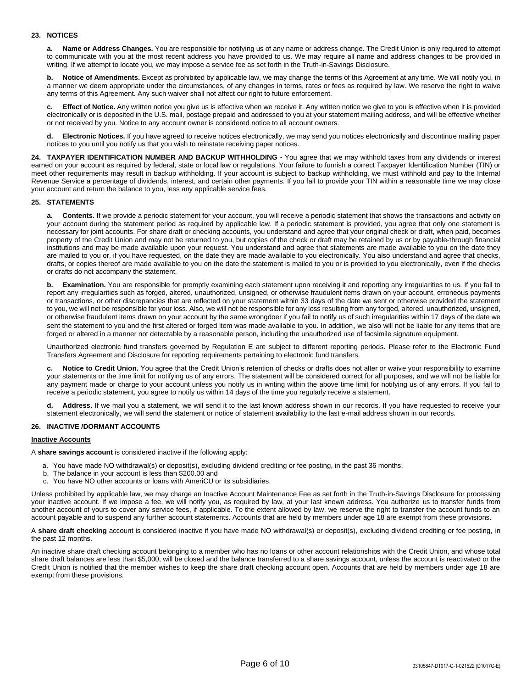# **23. NOTICES**

**a. Name or Address Changes.** You are responsible for notifying us of any name or address change. The Credit Union is only required to attempt to communicate with you at the most recent address you have provided to us. We may require all name and address changes to be provided in writing. If we attempt to locate you, we may impose a service fee as set forth in the Truth-in-Savings Disclosure.

**b. Notice of Amendments.** Except as prohibited by applicable law, we may change the terms of this Agreement at any time. We will notify you, in a manner we deem appropriate under the circumstances, of any changes in terms, rates or fees as required by law. We reserve the right to waive any terms of this Agreement. Any such waiver shall not affect our right to future enforcement.

**c. Effect of Notice.** Any written notice you give us is effective when we receive it. Any written notice we give to you is effective when it is provided electronically or is deposited in the U.S. mail, postage prepaid and addressed to you at your statement mailing address, and will be effective whether or not received by you. Notice to any account owner is considered notice to all account owners.

**d. Electronic Notices.** If you have agreed to receive notices electronically, we may send you notices electronically and discontinue mailing paper notices to you until you notify us that you wish to reinstate receiving paper notices.

**24. TAXPAYER IDENTIFICATION NUMBER AND BACKUP WITHHOLDING -** You agree that we may withhold taxes from any dividends or interest earned on your account as required by federal, state or local law or regulations. Your failure to furnish a correct Taxpayer Identification Number (TIN) or meet other requirements may result in backup withholding. If your account is subject to backup withholding, we must withhold and pay to the Internal Revenue Service a percentage of dividends, interest, and certain other payments. If you fail to provide your TIN within a reasonable time we may close your account and return the balance to you, less any applicable service fees.

## **25. STATEMENTS**

**a. Contents.** If we provide a periodic statement for your account, you will receive a periodic statement that shows the transactions and activity on your account during the statement period as required by applicable law. If a periodic statement is provided, you agree that only one statement is necessary for joint accounts. For share draft or checking accounts, you understand and agree that your original check or draft, when paid, becomes property of the Credit Union and may not be returned to you, but copies of the check or draft may be retained by us or by payable-through financial institutions and may be made available upon your request. You understand and agree that statements are made available to you on the date they are mailed to you or, if you have requested, on the date they are made available to you electronically. You also understand and agree that checks, drafts, or copies thereof are made available to you on the date the statement is mailed to you or is provided to you electronically, even if the checks or drafts do not accompany the statement.

**b. Examination.** You are responsible for promptly examining each statement upon receiving it and reporting any irregularities to us. If you fail to report any irregularities such as forged, altered, unauthorized, unsigned, or otherwise fraudulent items drawn on your account, erroneous payments or transactions, or other discrepancies that are reflected on your statement within 33 days of the date we sent or otherwise provided the statement to you, we will not be responsible for your loss. Also, we will not be responsible for any loss resulting from any forged, altered, unauthorized, unsigned, or otherwise fraudulent items drawn on your account by the same wrongdoer if you fail to notify us of such irregularities within 17 days of the date we sent the statement to you and the first altered or forged item was made available to you. In addition, we also will not be liable for any items that are forged or altered in a manner not detectable by a reasonable person, including the unauthorized use of facsimile signature equipment.

Unauthorized electronic fund transfers governed by Regulation E are subject to different reporting periods. Please refer to the Electronic Fund Transfers Agreement and Disclosure for reporting requirements pertaining to electronic fund transfers.

**c. Notice to Credit Union.** You agree that the Credit Union's retention of checks or drafts does not alter or waive your responsibility to examine your statements or the time limit for notifying us of any errors. The statement will be considered correct for all purposes, and we will not be liable for any payment made or charge to your account unless you notify us in writing within the above time limit for notifying us of any errors. If you fail to receive a periodic statement, you agree to notify us within 14 days of the time you regularly receive a statement.

Address. If we mail you a statement, we will send it to the last known address shown in our records. If you have requested to receive your statement electronically, we will send the statement or notice of statement availability to the last e-mail address shown in our records.

#### **26. INACTIVE /DORMANT ACCOUNTS**

#### **Inactive Accounts**

A **share savings account** is considered inactive if the following apply:

- a. You have made NO withdrawal(s) or deposit(s), excluding dividend crediting or fee posting, in the past 36 months,
- b. The balance in your account is less than \$200.00 and
- c. You have NO other accounts or loans with AmeriCU or its subsidiaries.

Unless prohibited by applicable law, we may charge an Inactive Account Maintenance Fee as set forth in the Truth-in-Savings Disclosure for processing your inactive account. If we impose a fee, we will notify you, as required by law, at your last known address. You authorize us to transfer funds from another account of yours to cover any service fees, if applicable. To the extent allowed by law, we reserve the right to transfer the account funds to an account payable and to suspend any further account statements. Accounts that are held by members under age 18 are exempt from these provisions.

A **share draft checking** account is considered inactive if you have made NO withdrawal(s) or deposit(s), excluding dividend crediting or fee posting, in the past 12 months.

An inactive share draft checking account belonging to a member who has no loans or other account relationships with the Credit Union, and whose total share draft balances are less than \$5,000, will be closed and the balance transferred to a share savings account, unless the account is reactivated or the Credit Union is notified that the member wishes to keep the share draft checking account open. Accounts that are held by members under age 18 are exempt from these provisions.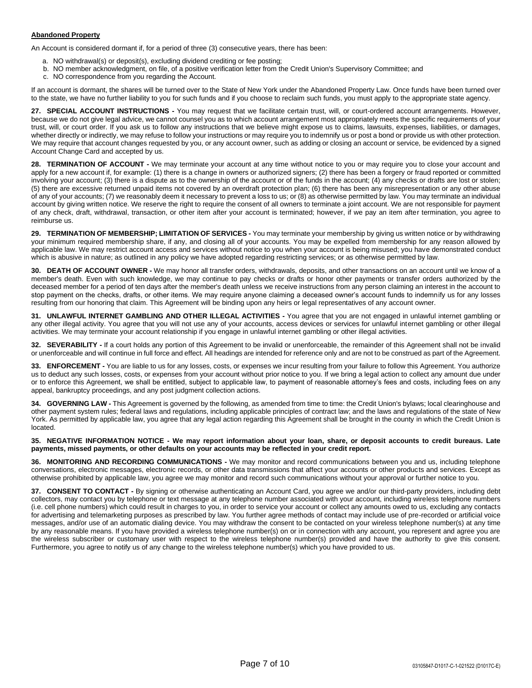# **Abandoned Property**

An Account is considered dormant if, for a period of three (3) consecutive years, there has been:

- a. NO withdrawal(s) or deposit(s), excluding dividend crediting or fee posting;
- b. NO member acknowledgment, on file, of a positive verification letter from the Credit Union's Supervisory Committee; and
- c. NO correspondence from you regarding the Account.

If an account is dormant, the shares will be turned over to the State of New York under the Abandoned Property Law. Once funds have been turned over to the state, we have no further liability to you for such funds and if you choose to reclaim such funds, you must apply to the appropriate state agency.

**27. SPECIAL ACCOUNT INSTRUCTIONS -** You may request that we facilitate certain trust, will, or court-ordered account arrangements. However, because we do not give legal advice, we cannot counsel you as to which account arrangement most appropriately meets the specific requirements of your trust, will, or court order. If you ask us to follow any instructions that we believe might expose us to claims, lawsuits, expenses, liabilities, or damages, whether directly or indirectly, we may refuse to follow your instructions or may require you to indemnify us or post a bond or provide us with other protection. We may require that account changes requested by you, or any account owner, such as adding or closing an account or service, be evidenced by a signed Account Change Card and accepted by us.

**28. TERMINATION OF ACCOUNT -** We may terminate your account at any time without notice to you or may require you to close your account and apply for a new account if, for example: (1) there is a change in owners or authorized signers; (2) there has been a forgery or fraud reported or committed involving your account; (3) there is a dispute as to the ownership of the account or of the funds in the account; (4) any checks or drafts are lost or stolen; (5) there are excessive returned unpaid items not covered by an overdraft protection plan; (6) there has been any misrepresentation or any other abuse of any of your accounts; (7) we reasonably deem it necessary to prevent a loss to us; or (8) as otherwise permitted by law. You may terminate an individual account by giving written notice. We reserve the right to require the consent of all owners to terminate a joint account. We are not responsible for payment of any check, draft, withdrawal, transaction, or other item after your account is terminated; however, if we pay an item after termination, you agree to reimburse us.

**29. TERMINATION OF MEMBERSHIP; LIMITATION OF SERVICES -** You may terminate your membership by giving us written notice or by withdrawing your minimum required membership share, if any, and closing all of your accounts. You may be expelled from membership for any reason allowed by applicable law. We may restrict account access and services without notice to you when your account is being misused; you have demonstrated conduct which is abusive in nature; as outlined in any policy we have adopted regarding restricting services; or as otherwise permitted by law.

**30. DEATH OF ACCOUNT OWNER -** We may honor all transfer orders, withdrawals, deposits, and other transactions on an account until we know of a member's death. Even with such knowledge, we may continue to pay checks or drafts or honor other payments or transfer orders authorized by the deceased member for a period of ten days after the member's death unless we receive instructions from any person claiming an interest in the account to stop payment on the checks, drafts, or other items. We may require anyone claiming a deceased owner's account funds to indemnify us for any losses resulting from our honoring that claim. This Agreement will be binding upon any heirs or legal representatives of any account owner.

**31. UNLAWFUL INTERNET GAMBLING AND OTHER ILLEGAL ACTIVITIES -** You agree that you are not engaged in unlawful internet gambling or any other illegal activity. You agree that you will not use any of your accounts, access devices or services for unlawful internet gambling or other illegal activities. We may terminate your account relationship if you engage in unlawful internet gambling or other illegal activities.

**32. SEVERABILITY -** If a court holds any portion of this Agreement to be invalid or unenforceable, the remainder of this Agreement shall not be invalid or unenforceable and will continue in full force and effect. All headings are intended for reference only and are not to be construed as part of the Agreement.

**33. ENFORCEMENT -** You are liable to us for any losses, costs, or expenses we incur resulting from your failure to follow this Agreement. You authorize us to deduct any such losses, costs, or expenses from your account without prior notice to you. If we bring a legal action to collect any amount due under or to enforce this Agreement, we shall be entitled, subject to applicable law, to payment of reasonable attorney's fees and costs, including fees on any appeal, bankruptcy proceedings, and any post judgment collection actions.

**34. GOVERNING LAW -** This Agreement is governed by the following, as amended from time to time: the Credit Union's bylaws; local clearinghouse and other payment system rules; federal laws and regulations, including applicable principles of contract law; and the laws and regulations of the state of New York. As permitted by applicable law, you agree that any legal action regarding this Agreement shall be brought in the county in which the Credit Union is located.

#### **35. NEGATIVE INFORMATION NOTICE - We may report information about your loan, share, or deposit accounts to credit bureaus. Late payments, missed payments, or other defaults on your accounts may be reflected in your credit report.**

**36. MONITORING AND RECORDING COMMUNICATIONS -** We may monitor and record communications between you and us, including telephone conversations, electronic messages, electronic records, or other data transmissions that affect your accounts or other products and services. Except as otherwise prohibited by applicable law, you agree we may monitor and record such communications without your approval or further notice to you.

**37. CONSENT TO CONTACT -** By signing or otherwise authenticating an Account Card, you agree we and/or our third-party providers, including debt collectors, may contact you by telephone or text message at any telephone number associated with your account, including wireless telephone numbers (i.e. cell phone numbers) which could result in charges to you, in order to service your account or collect any amounts owed to us, excluding any contacts for advertising and telemarketing purposes as prescribed by law. You further agree methods of contact may include use of pre-recorded or artificial voice messages, and/or use of an automatic dialing device. You may withdraw the consent to be contacted on your wireless telephone number(s) at any time by any reasonable means. If you have provided a wireless telephone number(s) on or in connection with any account, you represent and agree you are the wireless subscriber or customary user with respect to the wireless telephone number(s) provided and have the authority to give this consent. Furthermore, you agree to notify us of any change to the wireless telephone number(s) which you have provided to us.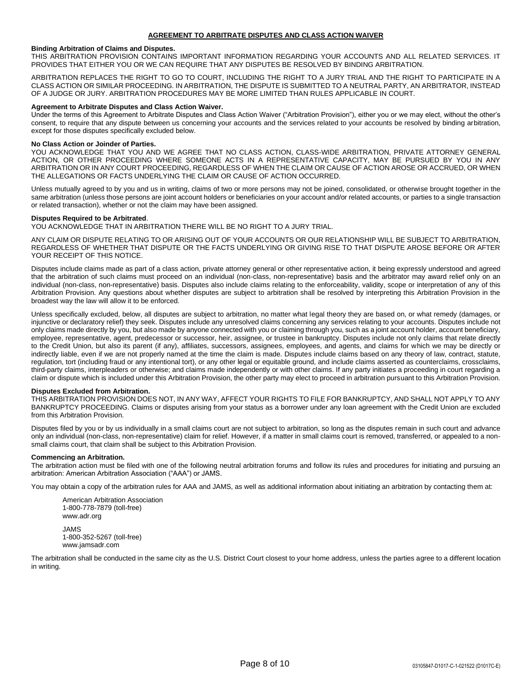## **Binding Arbitration of Claims and Disputes.**

THIS ARBITRATION PROVISION CONTAINS IMPORTANT INFORMATION REGARDING YOUR ACCOUNTS AND ALL RELATED SERVICES. IT PROVIDES THAT EITHER YOU OR WE CAN REQUIRE THAT ANY DISPUTES BE RESOLVED BY BINDING ARBITRATION.

ARBITRATION REPLACES THE RIGHT TO GO TO COURT, INCLUDING THE RIGHT TO A JURY TRIAL AND THE RIGHT TO PARTICIPATE IN A CLASS ACTION OR SIMILAR PROCEEDING. IN ARBITRATION, THE DISPUTE IS SUBMITTED TO A NEUTRAL PARTY, AN ARBITRATOR, INSTEAD OF A JUDGE OR JURY. ARBITRATION PROCEDURES MAY BE MORE LIMITED THAN RULES APPLICABLE IN COURT.

## **Agreement to Arbitrate Disputes and Class Action Waiver.**

Under the terms of this Agreement to Arbitrate Disputes and Class Action Waiver ("Arbitration Provision"), either you or we may elect, without the other's consent, to require that any dispute between us concerning your accounts and the services related to your accounts be resolved by binding arbitration, except for those disputes specifically excluded below.

#### **No Class Action or Joinder of Parties.**

YOU ACKNOWLEDGE THAT YOU AND WE AGREE THAT NO CLASS ACTION, CLASS-WIDE ARBITRATION, PRIVATE ATTORNEY GENERAL ACTION, OR OTHER PROCEEDING WHERE SOMEONE ACTS IN A REPRESENTATIVE CAPACITY, MAY BE PURSUED BY YOU IN ANY ARBITRATION OR IN ANY COURT PROCEEDING, REGARDLESS OF WHEN THE CLAIM OR CAUSE OF ACTION AROSE OR ACCRUED, OR WHEN THE ALLEGATIONS OR FACTS UNDERLYING THE CLAIM OR CAUSE OF ACTION OCCURRED.

Unless mutually agreed to by you and us in writing, claims of two or more persons may not be joined, consolidated, or otherwise brought together in the same arbitration (unless those persons are joint account holders or beneficiaries on your account and/or related accounts, or parties to a single transaction or related transaction), whether or not the claim may have been assigned.

## **Disputes Required to be Arbitrated**.

YOU ACKNOWLEDGE THAT IN ARBITRATION THERE WILL BE NO RIGHT TO A JURY TRIAL.

ANY CLAIM OR DISPUTE RELATING TO OR ARISING OUT OF YOUR ACCOUNTS OR OUR RELATIONSHIP WILL BE SUBJECT TO ARBITRATION, REGARDLESS OF WHETHER THAT DISPUTE OR THE FACTS UNDERLYING OR GIVING RISE TO THAT DISPUTE AROSE BEFORE OR AFTER YOUR RECEIPT OF THIS NOTICE.

Disputes include claims made as part of a class action, private attorney general or other representative action, it being expressly understood and agreed that the arbitration of such claims must proceed on an individual (non-class, non-representative) basis and the arbitrator may award relief only on an individual (non-class, non-representative) basis. Disputes also include claims relating to the enforceability, validity, scope or interpretation of any of this Arbitration Provision. Any questions about whether disputes are subject to arbitration shall be resolved by interpreting this Arbitration Provision in the broadest way the law will allow it to be enforced.

Unless specifically excluded, below, all disputes are subject to arbitration, no matter what legal theory they are based on, or what remedy (damages, or injunctive or declaratory relief) they seek. Disputes include any unresolved claims concerning any services relating to your accounts. Disputes include not only claims made directly by you, but also made by anyone connected with you or claiming through you, such as a joint account holder, account beneficiary, employee, representative, agent, predecessor or successor, heir, assignee, or trustee in bankruptcy. Disputes include not only claims that relate directly to the Credit Union, but also its parent (if any), affiliates, successors, assignees, employees, and agents, and claims for which we may be directly or indirectly liable, even if we are not properly named at the time the claim is made. Disputes include claims based on any theory of law, contract, statute, regulation, tort (including fraud or any intentional tort), or any other legal or equitable ground, and include claims asserted as counterclaims, crossclaims, third-party claims, interpleaders or otherwise; and claims made independently or with other claims. If any party initiates a proceeding in court regarding a claim or dispute which is included under this Arbitration Provision, the other party may elect to proceed in arbitration pursuant to this Arbitration Provision.

#### **Disputes Excluded from Arbitration.**

THIS ARBITRATION PROVISION DOES NOT, IN ANY WAY, AFFECT YOUR RIGHTS TO FILE FOR BANKRUPTCY, AND SHALL NOT APPLY TO ANY BANKRUPTCY PROCEEDING. Claims or disputes arising from your status as a borrower under any loan agreement with the Credit Union are excluded from this Arbitration Provision.

Disputes filed by you or by us individually in a small claims court are not subject to arbitration, so long as the disputes remain in such court and advance only an individual (non-class, non-representative) claim for relief. However, if a matter in small claims court is removed, transferred, or appealed to a nonsmall claims court, that claim shall be subject to this Arbitration Provision.

#### **Commencing an Arbitration.**

The arbitration action must be filed with one of the following neutral arbitration forums and follow its rules and procedures for initiating and pursuing an arbitration: American Arbitration Association ("AAA") or JAMS.

You may obtain a copy of the arbitration rules for AAA and JAMS, as well as additional information about initiating an arbitration by contacting them at:

American Arbitration Association 1-800-778-7879 (toll-free) www.adr.org JAMS 1-800-352-5267 (toll-free) www.jamsadr.com

The arbitration shall be conducted in the same city as the U.S. District Court closest to your home address, unless the parties agree to a different location in writing.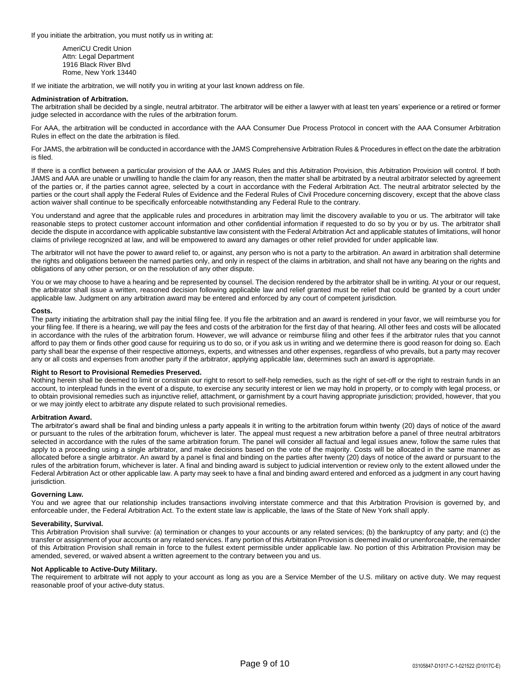If you initiate the arbitration, you must notify us in writing at:

AmeriCU Credit Union Attn: Legal Department 1916 Black River Blvd Rome, New York 13440

If we initiate the arbitration, we will notify you in writing at your last known address on file.

# **Administration of Arbitration.**

The arbitration shall be decided by a single, neutral arbitrator. The arbitrator will be either a lawyer with at least ten years' experience or a retired or former judge selected in accordance with the rules of the arbitration forum.

For AAA, the arbitration will be conducted in accordance with the AAA Consumer Due Process Protocol in concert with the AAA Consumer Arbitration Rules in effect on the date the arbitration is filed.

For JAMS, the arbitration will be conducted in accordance with the JAMS Comprehensive Arbitration Rules & Procedures in effect on the date the arbitration is filed.

If there is a conflict between a particular provision of the AAA or JAMS Rules and this Arbitration Provision, this Arbitration Provision will control. If both JAMS and AAA are unable or unwilling to handle the claim for any reason, then the matter shall be arbitrated by a neutral arbitrator selected by agreement of the parties or, if the parties cannot agree, selected by a court in accordance with the Federal Arbitration Act. The neutral arbitrator selected by the parties or the court shall apply the Federal Rules of Evidence and the Federal Rules of Civil Procedure concerning discovery, except that the above class action waiver shall continue to be specifically enforceable notwithstanding any Federal Rule to the contrary.

You understand and agree that the applicable rules and procedures in arbitration may limit the discovery available to you or us. The arbitrator will take reasonable steps to protect customer account information and other confidential information if requested to do so by you or by us. The arbitrator shall decide the dispute in accordance with applicable substantive law consistent with the Federal Arbitration Act and applicable statutes of limitations, will honor claims of privilege recognized at law, and will be empowered to award any damages or other relief provided for under applicable law.

The arbitrator will not have the power to award relief to, or against, any person who is not a party to the arbitration. An award in arbitration shall determine the rights and obligations between the named parties only, and only in respect of the claims in arbitration, and shall not have any bearing on the rights and obligations of any other person, or on the resolution of any other dispute.

You or we may choose to have a hearing and be represented by counsel. The decision rendered by the arbitrator shall be in writing. At your or our request, the arbitrator shall issue a written, reasoned decision following applicable law and relief granted must be relief that could be granted by a court under applicable law. Judgment on any arbitration award may be entered and enforced by any court of competent jurisdiction.

## **Costs.**

The party initiating the arbitration shall pay the initial filing fee. If you file the arbitration and an award is rendered in your favor, we will reimburse you for your filing fee. If there is a hearing, we will pay the fees and costs of the arbitration for the first day of that hearing. All other fees and costs will be allocated in accordance with the rules of the arbitration forum. However, we will advance or reimburse filing and other fees if the arbitrator rules that you cannot afford to pay them or finds other good cause for requiring us to do so, or if you ask us in writing and we determine there is good reason for doing so. Each party shall bear the expense of their respective attorneys, experts, and witnesses and other expenses, regardless of who prevails, but a party may recover any or all costs and expenses from another party if the arbitrator, applying applicable law, determines such an award is appropriate.

## **Right to Resort to Provisional Remedies Preserved.**

Nothing herein shall be deemed to limit or constrain our right to resort to self-help remedies, such as the right of set-off or the right to restrain funds in an account, to interplead funds in the event of a dispute, to exercise any security interest or lien we may hold in property, or to comply with legal process, or to obtain provisional remedies such as injunctive relief, attachment, or garnishment by a court having appropriate jurisdiction; provided, however, that you or we may jointly elect to arbitrate any dispute related to such provisional remedies.

# **Arbitration Award.**

The arbitrator's award shall be final and binding unless a party appeals it in writing to the arbitration forum within twenty (20) days of notice of the award or pursuant to the rules of the arbitration forum, whichever is later. The appeal must request a new arbitration before a panel of three neutral arbitrators selected in accordance with the rules of the same arbitration forum. The panel will consider all factual and legal issues anew, follow the same rules that apply to a proceeding using a single arbitrator, and make decisions based on the vote of the majority. Costs will be allocated in the same manner as allocated before a single arbitrator. An award by a panel is final and binding on the parties after twenty (20) days of notice of the award or pursuant to the rules of the arbitration forum, whichever is later. A final and binding award is subject to judicial intervention or review only to the extent allowed under the Federal Arbitration Act or other applicable law. A party may seek to have a final and binding award entered and enforced as a judgment in any court having jurisdiction.

#### **Governing Law.**

You and we agree that our relationship includes transactions involving interstate commerce and that this Arbitration Provision is governed by, and enforceable under, the Federal Arbitration Act. To the extent state law is applicable, the laws of the State of New York shall apply.

# **Severability, Survival.**

This Arbitration Provision shall survive: (a) termination or changes to your accounts or any related services; (b) the bankruptcy of any party; and (c) the transfer or assignment of your accounts or any related services. If any portion of this Arbitration Provision is deemed invalid or unenforceable, the remainder of this Arbitration Provision shall remain in force to the fullest extent permissible under applicable law. No portion of this Arbitration Provision may be amended, severed, or waived absent a written agreement to the contrary between you and us.

## **Not Applicable to Active-Duty Military.**

The requirement to arbitrate will not apply to your account as long as you are a Service Member of the U.S. military on active duty. We may request reasonable proof of your active-duty status.